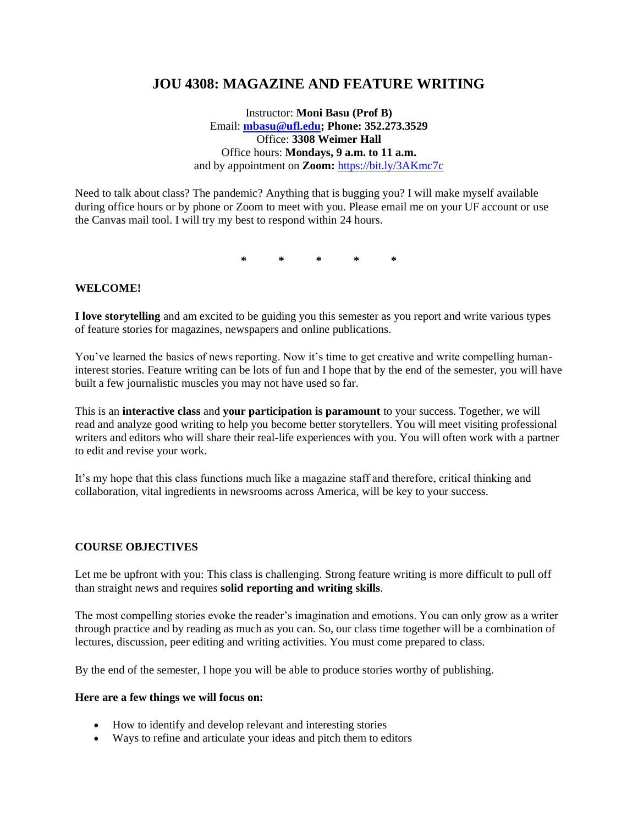# **JOU 4308: MAGAZINE AND FEATURE WRITING**

Instructor: **Moni Basu (Prof B)** Email: **[mbasu@ufl.edu;](mailto:mbasu@ufl.edu) Phone: 352.273.3529** Office: **3308 Weimer Hall** Office hours: **Mondays, 9 a.m. to 11 a.m.** and by appointment on **Zoom:** <https://bit.ly/3AKmc7c>

Need to talk about class? The pandemic? Anything that is bugging you? I will make myself available during office hours or by phone or Zoom to meet with you. Please email me on your UF account or use the Canvas mail tool. I will try my best to respond within 24 hours.

**\* \* \* \* \***

#### **WELCOME!**

**I love storytelling** and am excited to be guiding you this semester as you report and write various types of feature stories for magazines, newspapers and online publications.

You've learned the basics of news reporting. Now it's time to get creative and write compelling humaninterest stories. Feature writing can be lots of fun and I hope that by the end of the semester, you will have built a few journalistic muscles you may not have used so far.

This is an **interactive class** and **your participation is paramount** to your success. Together, we will read and analyze good writing to help you become better storytellers. You will meet visiting professional writers and editors who will share their real-life experiences with you. You will often work with a partner to edit and revise your work.

It's my hope that this class functions much like a magazine staff and therefore, critical thinking and collaboration, vital ingredients in newsrooms across America, will be key to your success.

#### **COURSE OBJECTIVES**

Let me be upfront with you: This class is challenging. Strong feature writing is more difficult to pull off than straight news and requires **solid reporting and writing skills**.

The most compelling stories evoke the reader's imagination and emotions. You can only grow as a writer through practice and by reading as much as you can. So, our class time together will be a combination of lectures, discussion, peer editing and writing activities. You must come prepared to class.

By the end of the semester, I hope you will be able to produce stories worthy of publishing.

#### **Here are a few things we will focus on:**

- How to identify and develop relevant and interesting stories
- Ways to refine and articulate your ideas and pitch them to editors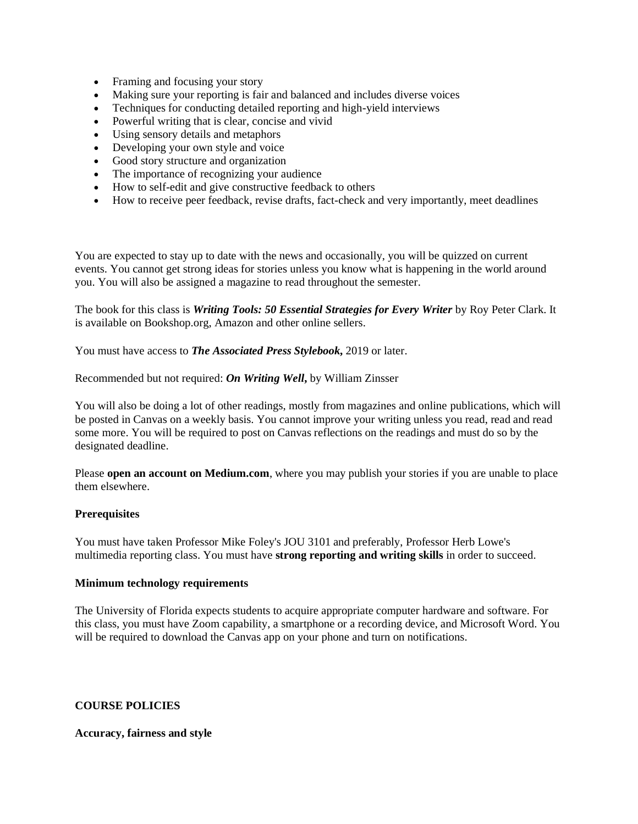- Framing and focusing your story
- Making sure your reporting is fair and balanced and includes diverse voices
- Techniques for conducting detailed reporting and high-yield interviews
- Powerful writing that is clear, concise and vivid
- Using sensory details and metaphors
- Developing your own style and voice
- Good story structure and organization
- The importance of recognizing your audience
- How to self-edit and give constructive feedback to others
- How to receive peer feedback, revise drafts, fact-check and very importantly, meet deadlines

You are expected to stay up to date with the news and occasionally, you will be quizzed on current events. You cannot get strong ideas for stories unless you know what is happening in the world around you. You will also be assigned a magazine to read throughout the semester.

The book for this class is *Writing Tools: 50 Essential Strategies for Every Writer* by Roy Peter Clark. It is available on Bookshop.org, Amazon and other online sellers.

You must have access to *The Associated Press Stylebook***,** 2019 or later.

Recommended but not required: *On Writing Well***,** by William Zinsser

You will also be doing a lot of other readings, mostly from magazines and online publications, which will be posted in Canvas on a weekly basis. You cannot improve your writing unless you read, read and read some more. You will be required to post on Canvas reflections on the readings and must do so by the designated deadline.

Please **open an account on Medium.com**, where you may publish your stories if you are unable to place them elsewhere.

### **Prerequisites**

You must have taken Professor Mike Foley's JOU 3101 and preferably, Professor Herb Lowe's multimedia reporting class. You must have **strong reporting and writing skills** in order to succeed.

#### **Minimum technology requirements**

The University of Florida expects students to acquire appropriate computer hardware and software. For this class, you must have Zoom capability, a smartphone or a recording device, and Microsoft Word. You will be required to download the Canvas app on your phone and turn on notifications.

### **COURSE POLICIES**

#### **Accuracy, fairness and style**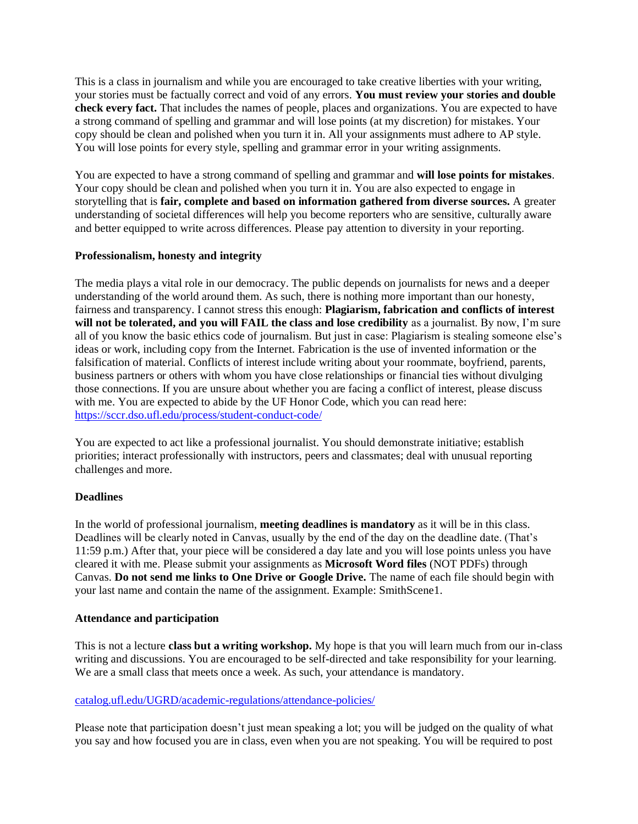This is a class in journalism and while you are encouraged to take creative liberties with your writing, your stories must be factually correct and void of any errors. **You must review your stories and double check every fact.** That includes the names of people, places and organizations. You are expected to have a strong command of spelling and grammar and will lose points (at my discretion) for mistakes. Your copy should be clean and polished when you turn it in. All your assignments must adhere to AP style. You will lose points for every style, spelling and grammar error in your writing assignments.

You are expected to have a strong command of spelling and grammar and **will lose points for mistakes**. Your copy should be clean and polished when you turn it in. You are also expected to engage in storytelling that is **fair, complete and based on information gathered from diverse sources.** A greater understanding of societal differences will help you become reporters who are sensitive, culturally aware and better equipped to write across differences. Please pay attention to diversity in your reporting.

### **Professionalism, honesty and integrity**

The media plays a vital role in our democracy. The public depends on journalists for news and a deeper understanding of the world around them. As such, there is nothing more important than our honesty, fairness and transparency. I cannot stress this enough: **Plagiarism, fabrication and conflicts of interest**  will not be tolerated, and you will FAIL the class and lose credibility as a journalist. By now, I'm sure all of you know the basic ethics code of journalism. But just in case: Plagiarism is stealing someone else's ideas or work, including copy from the Internet. Fabrication is the use of invented information or the falsification of material. Conflicts of interest include writing about your roommate, boyfriend, parents, business partners or others with whom you have close relationships or financial ties without divulging those connections. If you are unsure about whether you are facing a conflict of interest, please discuss with me. You are expected to abide by the UF Honor Code, which you can read here: <https://sccr.dso.ufl.edu/process/student-conduct-code/>

You are expected to act like a professional journalist. You should demonstrate initiative; establish priorities; interact professionally with instructors, peers and classmates; deal with unusual reporting challenges and more.

### **Deadlines**

In the world of professional journalism, **meeting deadlines is mandatory** as it will be in this class. Deadlines will be clearly noted in Canvas, usually by the end of the day on the deadline date. (That's 11:59 p.m.) After that, your piece will be considered a day late and you will lose points unless you have cleared it with me. Please submit your assignments as **Microsoft Word files** (NOT PDFs) through Canvas. **Do not send me links to One Drive or Google Drive.** The name of each file should begin with your last name and contain the name of the assignment. Example: SmithScene1.

### **Attendance and participation**

This is not a lecture **class but a writing workshop.** My hope is that you will learn much from our in-class writing and discussions. You are encouraged to be self-directed and take responsibility for your learning. We are a small class that meets once a week. As such, your attendance is mandatory.

### [catalog.ufl.edu/UGRD/academic-regulations/attendance-policies/](http://catalog.ufl.edu/UGRD/academic-regulations/attendance-policies/)

Please note that participation doesn't just mean speaking a lot; you will be judged on the quality of what you say and how focused you are in class, even when you are not speaking. You will be required to post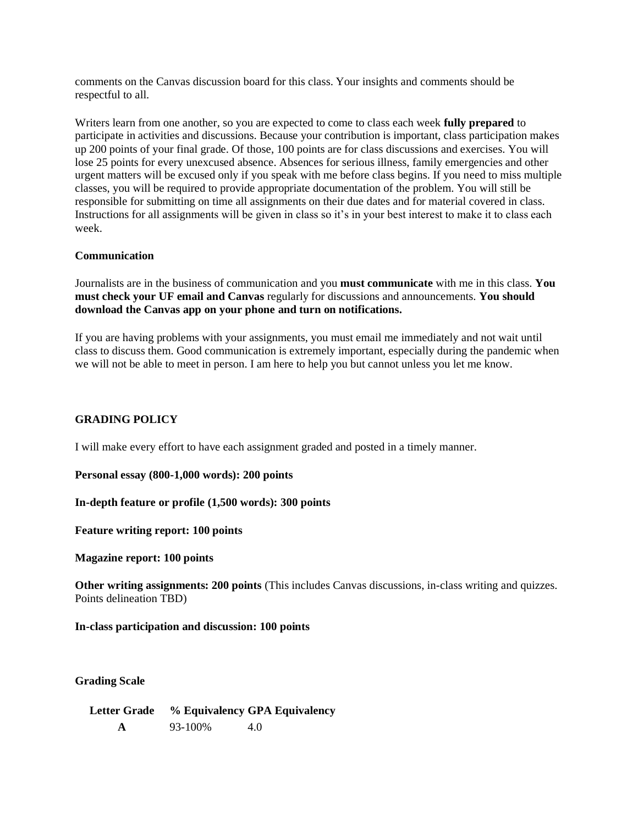comments on the Canvas discussion board for this class. Your insights and comments should be respectful to all.

Writers learn from one another, so you are expected to come to class each week **fully prepared** to participate in activities and discussions. Because your contribution is important, class participation makes up 200 points of your final grade. Of those, 100 points are for class discussions and exercises. You will lose 25 points for every unexcused absence. Absences for serious illness, family emergencies and other urgent matters will be excused only if you speak with me before class begins. If you need to miss multiple classes, you will be required to provide appropriate documentation of the problem. You will still be responsible for submitting on time all assignments on their due dates and for material covered in class. Instructions for all assignments will be given in class so it's in your best interest to make it to class each week.

### **Communication**

Journalists are in the business of communication and you **must communicate** with me in this class. **You must check your UF email and Canvas** regularly for discussions and announcements. **You should download the Canvas app on your phone and turn on notifications.**

If you are having problems with your assignments, you must email me immediately and not wait until class to discuss them. Good communication is extremely important, especially during the pandemic when we will not be able to meet in person. I am here to help you but cannot unless you let me know.

### **GRADING POLICY**

I will make every effort to have each assignment graded and posted in a timely manner.

**Personal essay (800-1,000 words): 200 points** 

**In-depth feature or profile (1,500 words): 300 points**

**Feature writing report: 100 points**

**Magazine report: 100 points**

**Other writing assignments: 200 points** (This includes Canvas discussions, in-class writing and quizzes. Points delineation TBD)

**In-class participation and discussion: 100 points**

**Grading Scale**

**Letter Grade % Equivalency GPA Equivalency A** 93-100% 4.0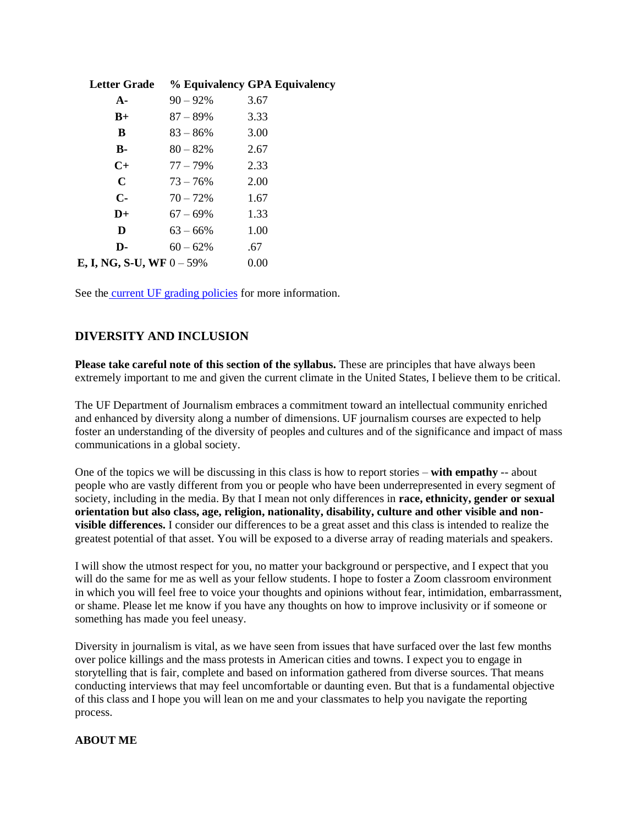| <b>Letter Grade</b>               |             | % Equivalency GPA Equivalency |
|-----------------------------------|-------------|-------------------------------|
| $A -$                             | $90 - 92%$  | 3.67                          |
| $B+$                              | $87 - 89\%$ | 3.33                          |
| B                                 | $83 - 86\%$ | 3.00                          |
| <b>B-</b>                         | $80 - 82\%$ | 2.67                          |
| $C+$                              | 77 – 79%    | 2.33                          |
| $\mathbf C$                       | $73 - 76\%$ | 2.00                          |
| $\mathbf{C}$                      | $70 - 72\%$ | 1.67                          |
| $D+$                              | $67 - 69\%$ | 1.33                          |
| D                                 | $63 - 66\%$ | 1.00                          |
| D-                                | $60 - 62%$  | .67                           |
| <b>E, I, NG, S-U, WF</b> $0-59\%$ |             | 0.00                          |

See the [current UF grading policies](https://catalog.ufl.edu/ugrad/current/regulations/info/grades.aspx) for more information.

### **DIVERSITY AND INCLUSION**

**Please take careful note of this section of the syllabus.** These are principles that have always been extremely important to me and given the current climate in the United States, I believe them to be critical.

The UF Department of Journalism embraces a commitment toward an intellectual community enriched and enhanced by diversity along a number of dimensions. UF journalism courses are expected to help foster an understanding of the diversity of peoples and cultures and of the significance and impact of mass communications in a global society.

One of the topics we will be discussing in this class is how to report stories – **with empathy** -- about people who are vastly different from you or people who have been underrepresented in every segment of society, including in the media. By that I mean not only differences in **race, ethnicity, gender or sexual orientation but also class, age, religion, nationality, disability, culture and other visible and nonvisible differences.** I consider our differences to be a great asset and this class is intended to realize the greatest potential of that asset. You will be exposed to a diverse array of reading materials and speakers.

I will show the utmost respect for you, no matter your background or perspective, and I expect that you will do the same for me as well as your fellow students. I hope to foster a Zoom classroom environment in which you will feel free to voice your thoughts and opinions without fear, intimidation, embarrassment, or shame. Please let me know if you have any thoughts on how to improve inclusivity or if someone or something has made you feel uneasy.

Diversity in journalism is vital, as we have seen from issues that have surfaced over the last few months over police killings and the mass protests in American cities and towns. I expect you to engage in storytelling that is fair, complete and based on information gathered from diverse sources. That means conducting interviews that may feel uncomfortable or daunting even. But that is a fundamental objective of this class and I hope you will lean on me and your classmates to help you navigate the reporting process.

#### **ABOUT ME**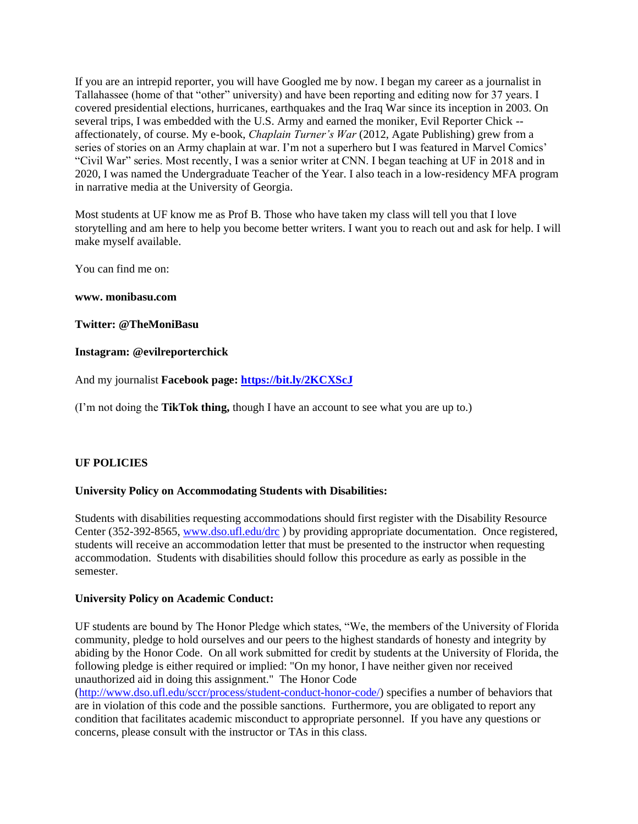If you are an intrepid reporter, you will have Googled me by now. I began my career as a journalist in Tallahassee (home of that "other" university) and have been reporting and editing now for 37 years. I covered presidential elections, hurricanes, earthquakes and the Iraq War since its inception in 2003. On several trips, I was embedded with the U.S. Army and earned the moniker, Evil Reporter Chick -affectionately, of course. My e-book, *Chaplain Turner's War* (2012, Agate Publishing) grew from a series of stories on an Army chaplain at war. I'm not a superhero but I was featured in Marvel Comics' "Civil War" series. Most recently, I was a senior writer at CNN. I began teaching at UF in 2018 and in 2020, I was named the Undergraduate Teacher of the Year. I also teach in a low-residency MFA program in narrative media at the University of Georgia.

Most students at UF know me as Prof B. Those who have taken my class will tell you that I love storytelling and am here to help you become better writers. I want you to reach out and ask for help. I will make myself available.

You can find me on:

#### **www. monibasu.com**

**Twitter: @TheMoniBasu**

#### **Instagram: @evilreporterchick**

And my journalist **Facebook page:<https://bit.ly/2KCXScJ>**

(I'm not doing the **TikTok thing,** though I have an account to see what you are up to.)

### **UF POLICIES**

#### **University Policy on Accommodating Students with Disabilities:**

Students with disabilities requesting accommodations should first register with the Disability Resource Center (352-392-8565[, www.dso.ufl.edu/drc](http://www.dso.ufl.edu/drc)) by providing appropriate documentation. Once registered, students will receive an accommodation letter that must be presented to the instructor when requesting accommodation. Students with disabilities should follow this procedure as early as possible in the semester.

#### **University Policy on Academic Conduct:**

UF students are bound by The Honor Pledge which states, "We, the members of the University of Florida community, pledge to hold ourselves and our peers to the highest standards of honesty and integrity by abiding by the Honor Code. On all work submitted for credit by students at the University of Florida, the following pledge is either required or implied: "On my honor, I have neither given nor received unauthorized aid in doing this assignment." The Honor Code

[\(http://www.dso.ufl.edu/sccr/process/student-conduct-honor-code/\)](http://www.dso.ufl.edu/sccr/process/student-conduct-honor-code/) specifies a number of behaviors that are in violation of this code and the possible sanctions. Furthermore, you are obligated to report any condition that facilitates academic misconduct to appropriate personnel. If you have any questions or concerns, please consult with the instructor or TAs in this class.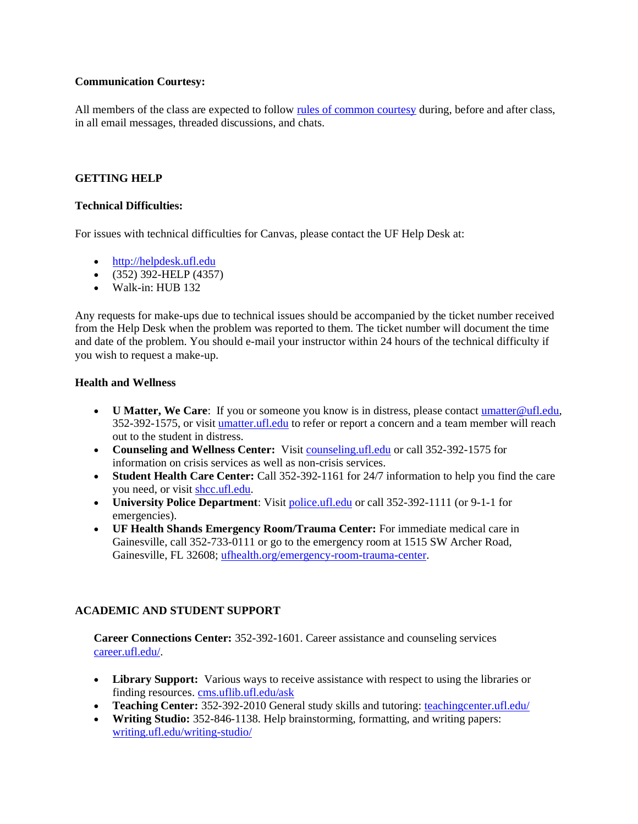### **Communication Courtesy:**

All members of the class are expected to follow [rules of common courtesy](http://teach.ufl.edu/wp-content/uploads/2012/08/NetiquetteGuideforOnlineCourses.pdf) during, before and after class, in all email messages, threaded discussions, and chats.

### **GETTING HELP**

### **Technical Difficulties:**

For issues with technical difficulties for Canvas, please contact the UF Help Desk at:

- [http://helpdesk.ufl.edu](http://helpdesk.ufl.edu/)
- $\bullet$  (352) 392-HELP (4357)
- Walk-in: HUB 132

Any requests for make-ups due to technical issues should be accompanied by the ticket number received from the Help Desk when the problem was reported to them. The ticket number will document the time and date of the problem. You should e-mail your instructor within 24 hours of the technical difficulty if you wish to request a make-up.

### **Health and Wellness**

- **U Matter, We Care**: If you or someone you know is in distress, please contact umatter @ufl.edu, 352-392-1575, or visit [umatter.ufl.edu](http://umatter.ufl.edu/) to refer or report a concern and a team member will reach out to the student in distress.
- **Counseling and Wellness Center:** Visit [counseling.ufl.edu](http://counseling.ufl.edu/) or call 352-392-1575 for information on crisis services as well as non-crisis services.
- **Student Health Care Center:** Call 352-392-1161 for 24/7 information to help you find the care you need, or visit [shcc.ufl.edu.](http://shcc.ufl.edu/)
- **University Police Department**: Visit [police.ufl.edu](http://police.ufl.edu/) or call 352-392-1111 (or 9-1-1 for emergencies).
- **UF Health Shands Emergency Room/Trauma Center:** For immediate medical care in Gainesville, call 352-733-0111 or go to the emergency room at 1515 SW Archer Road, Gainesville, FL 32608; [ufhealth.org/emergency-room-trauma-center.](http://ufhealth.org/emergency-room-trauma-center)

# **ACADEMIC AND STUDENT SUPPORT**

**Career Connections Center:** 352-392-1601. Career assistance and counseling services [career.ufl.edu/.](http://career.ufl.edu/)

- **Library Support:** Various ways to receive assistance with respect to using the libraries or finding resources[. cms.uflib.ufl.edu/ask](http://cms.uflib.ufl.edu/ask)
- **Teaching Center:** 352-392-2010 General study skills and tutoring: [teachingcenter.ufl.edu/](http://teachingcenter.ufl.edu/)
- **Writing Studio:** 352-846-1138. Help brainstorming, formatting, and writing papers: [writing.ufl.edu/writing-studio/](http://writing.ufl.edu/writing-studio/)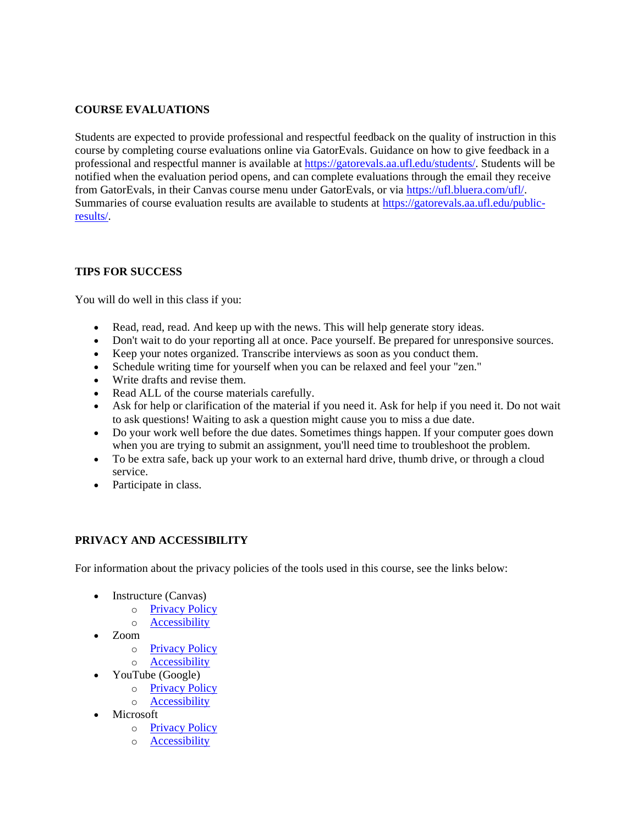# **COURSE EVALUATIONS**

Students are expected to provide professional and respectful feedback on the quality of instruction in this course by completing course evaluations online via GatorEvals. Guidance on how to give feedback in a professional and respectful manner is available at [https://gatorevals.aa.ufl.edu/students/.](https://gatorevals.aa.ufl.edu/students/) Students will be notified when the evaluation period opens, and can complete evaluations through the email they receive from GatorEvals, in their Canvas course menu under GatorEvals, or via [https://ufl.bluera.com/ufl/.](https://urldefense.proofpoint.com/v2/url?u=https-3A__ufl.bluera.com_ufl_&d=DwMFAg&c=sJ6xIWYx-zLMB3EPkvcnVg&r=y2HjEMjRMHJhfdvLrqJZlYczRsfp5e4TfQjHuc5rVHg&m=WXko6OK_Ha6T00ZVAsEaSh99qRXHOgMNFRywCoehRho&s=itVU46DDJjnIg4CW6efJOOLgPjdzsPvCghyfzJoFONs&e=) Summaries of course evaluation results are available to students at [https://gatorevals.aa.ufl.edu/public](https://gatorevals.aa.ufl.edu/public-results/)[results/.](https://gatorevals.aa.ufl.edu/public-results/)

### **TIPS FOR SUCCESS**

You will do well in this class if you:

- Read, read, read. And keep up with the news. This will help generate story ideas.
- Don't wait to do your reporting all at once. Pace yourself. Be prepared for unresponsive sources.
- Keep your notes organized. Transcribe interviews as soon as you conduct them.
- Schedule writing time for yourself when you can be relaxed and feel your "zen."
- Write drafts and revise them.
- Read ALL of the course materials carefully.
- Ask for help or clarification of the material if you need it. Ask for help if you need it. Do not wait to ask questions! Waiting to ask a question might cause you to miss a due date.
- Do your work well before the due dates. Sometimes things happen. If your computer goes down when you are trying to submit an assignment, you'll need time to troubleshoot the problem.
- To be extra safe, back up your work to an external hard drive, thumb drive, or through a cloud service.
- Participate in class.

# **PRIVACY AND ACCESSIBILITY**

For information about the privacy policies of the tools used in this course, see the links below:

- Instructure (Canvas)
	- o [Privacy Policy](https://www.instructure.com/policies/privacy)
	- o [Accessibility](https://www.instructure.com/canvas/accessibility)
- Zoom
	- o [Privacy Policy](https://zoom.us/privacy)
	- o [Accessibility](https://zoom.us/accessibility)
	- YouTube (Google)
		- o [Privacy Policy](https://policies.google.com/privacy)
		- o [Accessibility](https://support.google.com/youtube/answer/189278?hl=en)
- Microsoft
	- o [Privacy Policy](https://privacy.microsoft.com/en-us/privacystatement)
	- o [Accessibility](https://www.microsoft.com/en-us/accessibility/office?activetab=pivot_1%3aprimaryr2)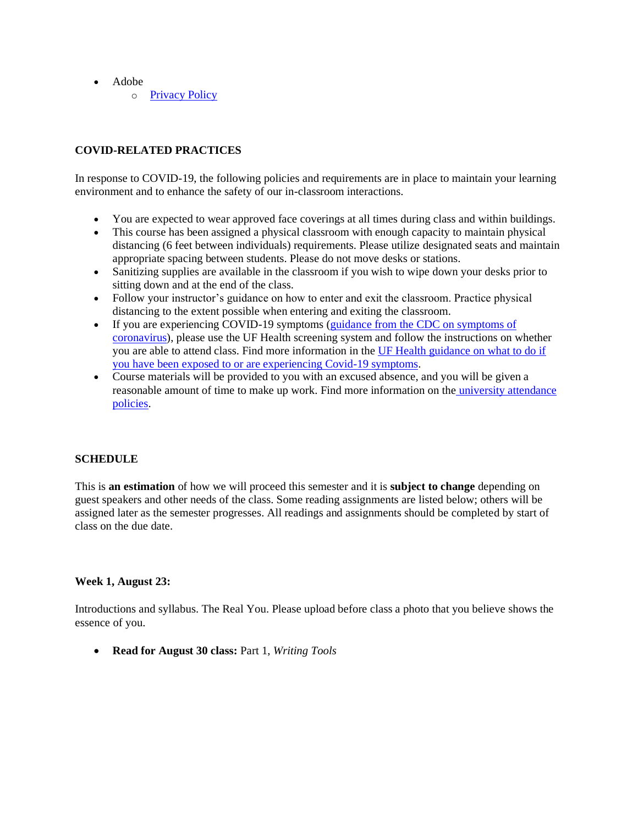- Adobe
	- o [Privacy Policy](https://www.adobe.com/privacy/policy.html)

## **COVID-RELATED PRACTICES**

In response to COVID-19, the following policies and requirements are in place to maintain your learning environment and to enhance the safety of our in-classroom interactions.

- You are expected to wear approved face coverings at all times during class and within buildings.
- This course has been assigned a physical classroom with enough capacity to maintain physical distancing (6 feet between individuals) requirements. Please utilize designated seats and maintain appropriate spacing between students. Please do not move desks or stations.
- Sanitizing supplies are available in the classroom if you wish to wipe down your desks prior to sitting down and at the end of the class.
- Follow your instructor's guidance on how to enter and exit the classroom. Practice physical distancing to the extent possible when entering and exiting the classroom.
- If you are experiencing COVID-19 symptoms (guidance from the CDC on symptoms of [coronavirus\)](https://www.cdc.gov/coronavirus/2019-ncov/symptoms-testing/symptoms.html), please use the UF Health screening system and follow the instructions on whether you are able to attend class. Find more information in the [UF Health guidance on what to do if](https://coronavirus.ufhealth.org/screen-test-protect/covid-19-exposure-and-symptoms-who-do-i-call-if/)  [you have been exposed to or are experiencing Covid-19 symptoms.](https://coronavirus.ufhealth.org/screen-test-protect/covid-19-exposure-and-symptoms-who-do-i-call-if/)
- Course materials will be provided to you with an excused absence, and you will be given a reasonable amount of time to make up work. Find more information on the [university attendance](https://catalog.ufl.edu/UGRD/academic-regulations/attendance-policies/)  [policies.](https://catalog.ufl.edu/UGRD/academic-regulations/attendance-policies/)

### **SCHEDULE**

This is **an estimation** of how we will proceed this semester and it is **subject to change** depending on guest speakers and other needs of the class. Some reading assignments are listed below; others will be assigned later as the semester progresses. All readings and assignments should be completed by start of class on the due date.

### **Week 1, August 23:**

Introductions and syllabus. The Real You. Please upload before class a photo that you believe shows the essence of you.

• **Read for August 30 class:** Part 1, *Writing Tools*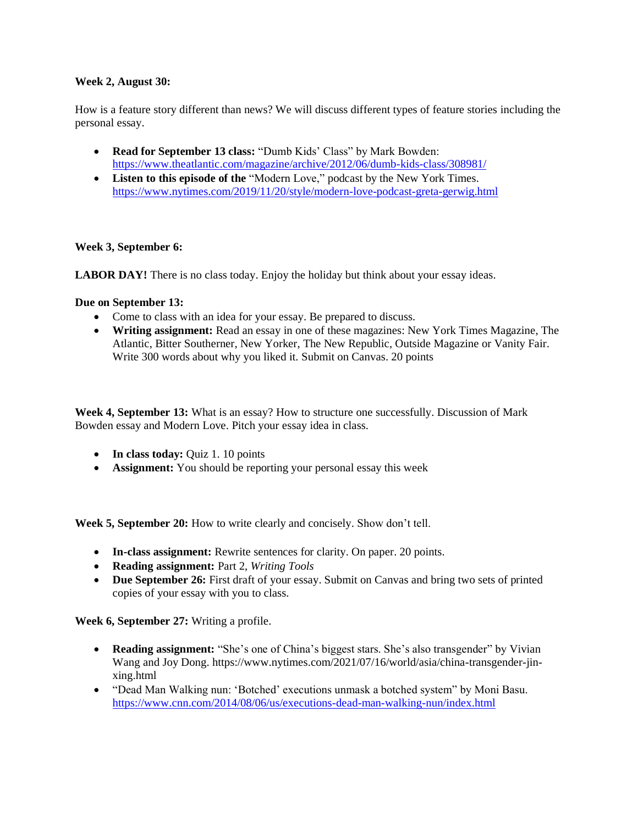### **Week 2, August 30:**

How is a feature story different than news? We will discuss different types of feature stories including the personal essay.

- **Read for September 13 class:** "Dumb Kids' Class" by Mark Bowden: <https://www.theatlantic.com/magazine/archive/2012/06/dumb-kids-class/308981/>
- **Listen to this episode of the** "Modern Love," podcast by the New York Times. <https://www.nytimes.com/2019/11/20/style/modern-love-podcast-greta-gerwig.html>

### **Week 3, September 6:**

**LABOR DAY!** There is no class today. Enjoy the holiday but think about your essay ideas.

### **Due on September 13:**

- Come to class with an idea for your essay. Be prepared to discuss.
- **Writing assignment:** Read an essay in one of these magazines: New York Times Magazine, The Atlantic, Bitter Southerner, New Yorker, The New Republic, Outside Magazine or Vanity Fair. Write 300 words about why you liked it. Submit on Canvas. 20 points

**Week 4, September 13:** What is an essay? How to structure one successfully. Discussion of Mark Bowden essay and Modern Love. Pitch your essay idea in class.

- **In class today:** Quiz 1. 10 points
- **Assignment:** You should be reporting your personal essay this week

**Week 5, September 20:** How to write clearly and concisely. Show don't tell.

- **In-class assignment:** Rewrite sentences for clarity. On paper. 20 points.
- **Reading assignment:** Part 2, *Writing Tools*
- **Due September 26:** First draft of your essay. Submit on Canvas and bring two sets of printed copies of your essay with you to class.

**Week 6, September 27:** Writing a profile.

- **Reading assignment:** "She's one of China's biggest stars. She's also transgender" by Vivian Wang and Joy Dong. https://www.nytimes.com/2021/07/16/world/asia/china-transgender-jinxing.html
- "Dead Man Walking nun: 'Botched' executions unmask a botched system" by Moni Basu. <https://www.cnn.com/2014/08/06/us/executions-dead-man-walking-nun/index.html>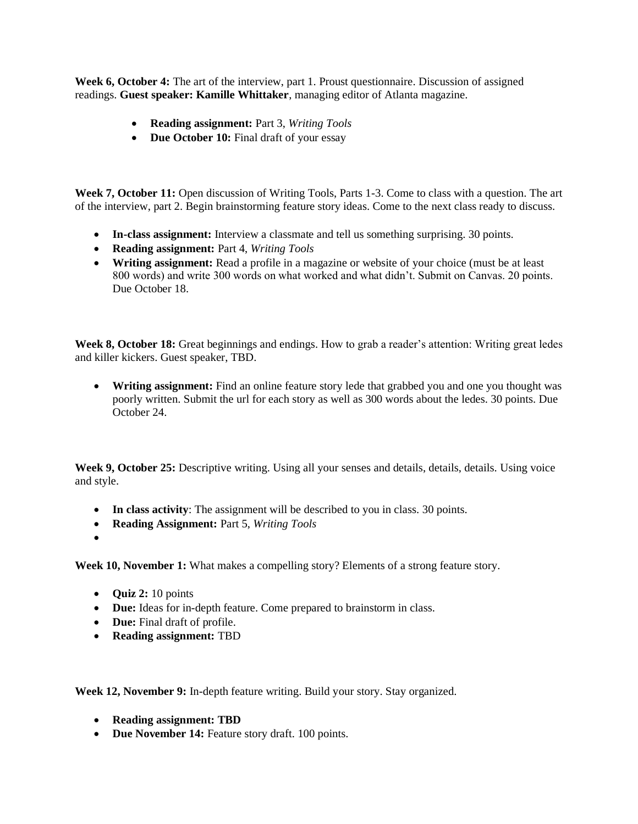**Week 6, October 4:** The art of the interview, part 1. Proust questionnaire. Discussion of assigned readings. **Guest speaker: Kamille Whittaker**, managing editor of Atlanta magazine.

- **Reading assignment:** Part 3, *Writing Tools*
- **Due October 10:** Final draft of your essay

**Week 7, October 11:** Open discussion of Writing Tools, Parts 1-3. Come to class with a question. The art of the interview, part 2. Begin brainstorming feature story ideas. Come to the next class ready to discuss.

- **In-class assignment:** Interview a classmate and tell us something surprising. 30 points.
- **Reading assignment:** Part 4, *Writing Tools*
- **Writing assignment:** Read a profile in a magazine or website of your choice (must be at least 800 words) and write 300 words on what worked and what didn't. Submit on Canvas. 20 points. Due October 18.

**Week 8, October 18:** Great beginnings and endings. How to grab a reader's attention: Writing great ledes and killer kickers. Guest speaker, TBD.

• **Writing assignment:** Find an online feature story lede that grabbed you and one you thought was poorly written. Submit the url for each story as well as 300 words about the ledes. 30 points. Due October 24.

**Week 9, October 25:** Descriptive writing. Using all your senses and details, details, details. Using voice and style.

- **In class activity**: The assignment will be described to you in class. 30 points.
- **Reading Assignment:** Part 5, *Writing Tools*
- •

**Week 10, November 1:** What makes a compelling story? Elements of a strong feature story.

- **Quiz 2:** 10 points
- **Due:** Ideas for in-depth feature. Come prepared to brainstorm in class.
- **Due:** Final draft of profile.
- **Reading assignment:** TBD

**Week 12, November 9:** In-depth feature writing. Build your story. Stay organized.

- **Reading assignment: TBD**
- **Due November 14:** Feature story draft. 100 points.